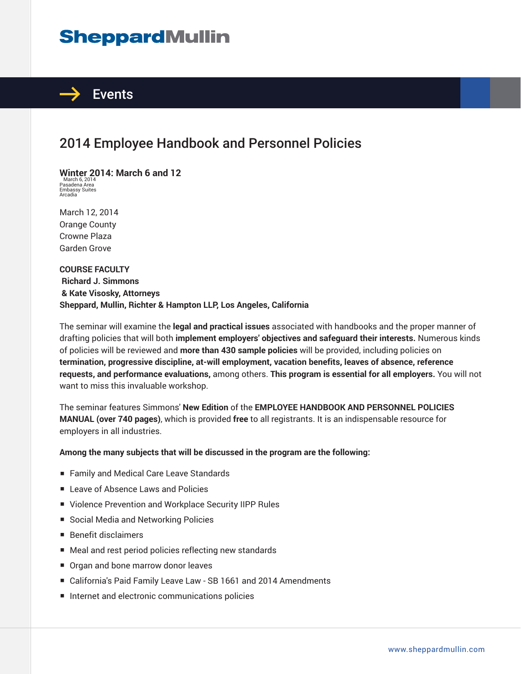# **SheppardMullin**



### 2014 Employee Handbook and Personnel Policies

**Winter 2014: March 6 and 12** March 6, 2014 Pasadena Area Embassy Suites Arcadia

March 12, 2014 Orange County Crowne Plaza Garden Grove

**COURSE FACULTY Richard J. Simmons & Kate Visosky, Attorneys Sheppard, Mullin, Richter & Hampton LLP, Los Angeles, California**

The seminar will examine the **legal and practical issues** associated with handbooks and the proper manner of drafting policies that will both **implement employers' objectives and safeguard their interests.** Numerous kinds of policies will be reviewed and **more than 430 sample policies** will be provided, including policies on **termination, progressive discipline, at-will employment, vacation benefits, leaves of absence, reference requests, and performance evaluations,** among others. **This program is essential for all employers.** You will not want to miss this invaluable workshop.

The seminar features Simmons' **New Edition** of the **EMPLOYEE HANDBOOK AND PERSONNEL POLICIES MANUAL (over 740 pages)**, which is provided **free** to all registrants. It is an indispensable resource for employers in all industries.

**Among the many subjects that will be discussed in the program are the following:**

- Family and Medical Care Leave Standards
- Leave of Absence Laws and Policies
- Violence Prevention and Workplace Security IIPP Rules
- Social Media and Networking Policies
- Benefit disclaimers
- Meal and rest period policies reflecting new standards
- Organ and bone marrow donor leaves
- California's Paid Family Leave Law SB 1661 and 2014 Amendments
- Internet and electronic communications policies